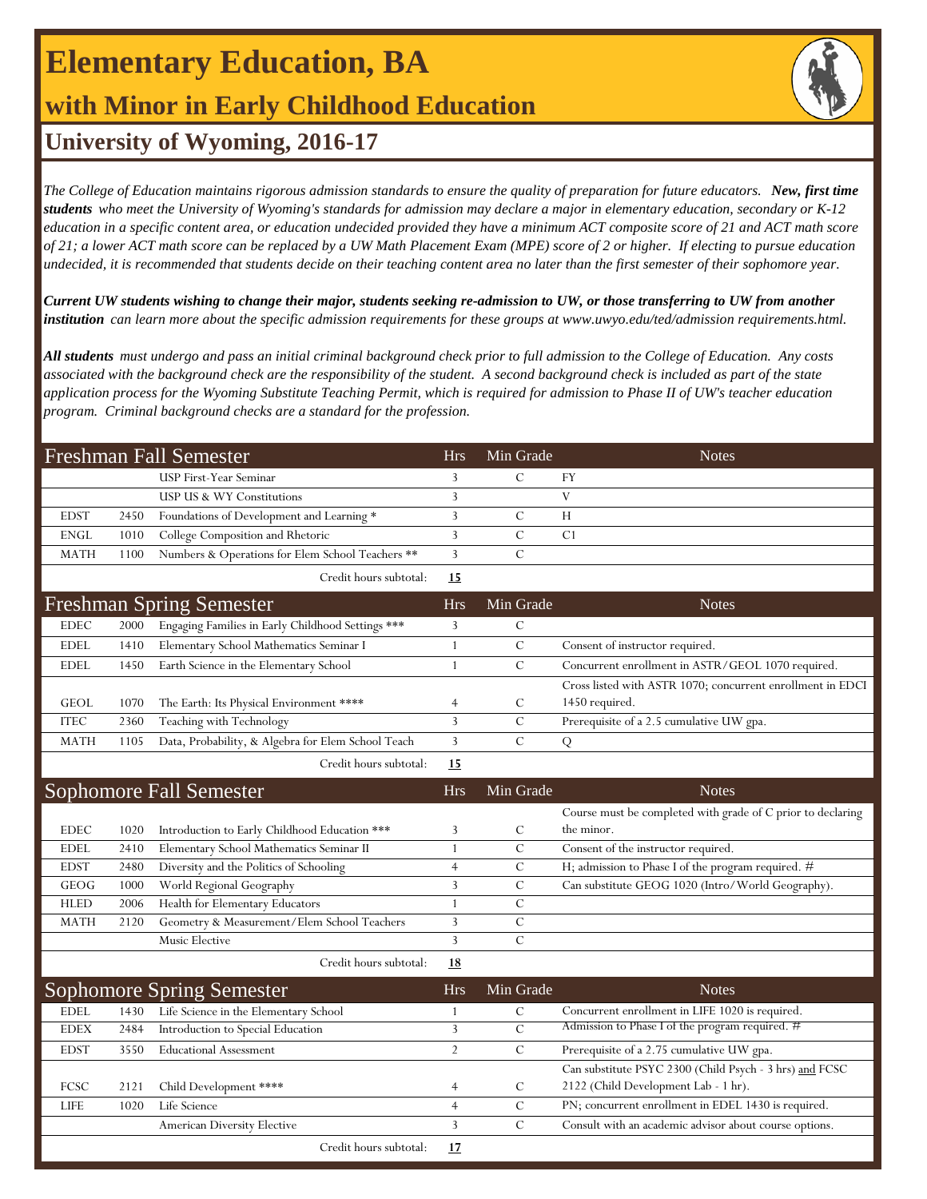# **Elementary Education, BA**

### **with Minor in Early Childhood Education**

### **University of Wyoming, 2016-17**

*The College of Education maintains rigorous admission standards to ensure the quality of preparation for future educators. New, first time students who meet the University of Wyoming's standards for admission may declare a major in elementary education, secondary or K-12 education in a specific content area, or education undecided provided they have a minimum ACT composite score of 21 and ACT math score of 21; a lower ACT math score can be replaced by a UW Math Placement Exam (MPE) score of 2 or higher. If electing to pursue education undecided, it is recommended that students decide on their teaching content area no later than the first semester of their sophomore year.*

*Current UW students wishing to change their major, students seeking re-admission to UW, or those transferring to UW from another institution can learn more about the specific admission requirements for these groups at www.uwyo.edu/ted/admission requirements.html.* 

*All students must undergo and pass an initial criminal background check prior to full admission to the College of Education. Any costs associated with the background check are the responsibility of the student. A second background check is included as part of the state application process for the Wyoming Substitute Teaching Permit, which is required for admission to Phase II of UW's teacher education program. Criminal background checks are a standard for the profession.*

| Freshman Fall Semester          |      |                                                  | <b>Hrs</b> | Min Grade |                | <b>Notes</b> |
|---------------------------------|------|--------------------------------------------------|------------|-----------|----------------|--------------|
|                                 |      | <b>USP First-Year Seminar</b>                    |            |           | FY             |              |
|                                 |      | USP US & WY Constitutions                        |            |           |                |              |
| <b>EDST</b>                     | 2450 | Foundations of Development and Learning *        |            |           | Н              |              |
| ENGL                            | 1010 | College Composition and Rhetoric                 |            |           | C <sub>1</sub> |              |
| MATH                            | 1100 | Numbers & Operations for Elem School Teachers ** |            |           |                |              |
|                                 |      | Credit hours subtotal:                           | 15         |           |                |              |
| <b>Freshman Spring Semester</b> |      |                                                  | <b>Hrs</b> | Min Grade |                | <b>Notes</b> |

|             |      | 11 TUBLIMALI D'ULINE, D'ULIUBIUL                   |  |                                                            |
|-------------|------|----------------------------------------------------|--|------------------------------------------------------------|
| EDEC        | 2000 | Engaging Families in Early Childhood Settings ***  |  |                                                            |
| EDEL        | 1410 | Elementary School Mathematics Seminar I            |  | Consent of instructor required.                            |
| EDEL        | 1450 | Earth Science in the Elementary School             |  | Concurrent enrollment in ASTR/GEOL 1070 required.          |
|             |      |                                                    |  | Cross listed with ASTR 1070; concurrent enrollment in EDCI |
| <b>GEOL</b> | 1070 | The Earth: Its Physical Environment ****           |  | 1450 required.                                             |
| <b>ITEC</b> | 2360 | Teaching with Technology                           |  | Prerequisite of a 2.5 cumulative UW gpa.                   |
| <b>MATH</b> | 1105 | Data, Probability, & Algebra for Elem School Teach |  |                                                            |
|             |      |                                                    |  |                                                            |

Credit hours subtotal: **15**

| Sophomore Fall Semester |      |                                               | <b>Hrs</b> | Min Grade | <b>Notes</b>                                                |
|-------------------------|------|-----------------------------------------------|------------|-----------|-------------------------------------------------------------|
|                         |      |                                               |            |           | Course must be completed with grade of C prior to declaring |
| <b>EDEC</b>             | 1020 | Introduction to Early Childhood Education *** |            | C         | the minor.                                                  |
| EDEL                    | 2410 | Elementary School Mathematics Seminar II      |            |           | Consent of the instructor required.                         |
| <b>EDST</b>             | 2480 | Diversity and the Politics of Schooling       |            |           | H; admission to Phase I of the program required. #          |
| <b>GEOG</b>             | 1000 | World Regional Geography                      |            |           | Can substitute GEOG 1020 (Intro/World Geography).           |
| <b>HLED</b>             | 2006 | Health for Elementary Educators               |            |           |                                                             |
| <b>MATH</b>             | 2120 | Geometry & Measurement/Elem School Teachers   |            |           |                                                             |
|                         |      | Music Elective                                |            |           |                                                             |
|                         |      | Credit hours subtotal:                        | <u>18</u>  |           |                                                             |

| Sophomore Spring Semester |      |                                       | <b>Hrs</b> | Min Grade | <b>Notes</b>                                            |
|---------------------------|------|---------------------------------------|------------|-----------|---------------------------------------------------------|
| EDEL                      | 1430 | Life Science in the Elementary School |            |           | Concurrent enrollment in LIFE 1020 is required.         |
| <b>EDEX</b>               | 2484 | Introduction to Special Education     |            |           | Admission to Phase I of the program required. #         |
| <b>EDST</b>               | 3550 | <b>Educational Assessment</b>         |            |           | Prerequisite of a 2.75 cumulative UW gpa.               |
|                           |      |                                       |            |           | Can substitute PSYC 2300 (Child Psych - 3 hrs) and FCSC |
| <b>FCSC</b>               | 2121 | Child Development ****                |            |           | 2122 (Child Development Lab - 1 hr).                    |
| <b>LIFE</b>               | 1020 | Life Science                          |            |           | PN; concurrent enrollment in EDEL 1430 is required.     |
|                           |      | American Diversity Elective           |            |           | Consult with an academic advisor about course options.  |
|                           |      | Credit hours subtotal:                | 17         |           |                                                         |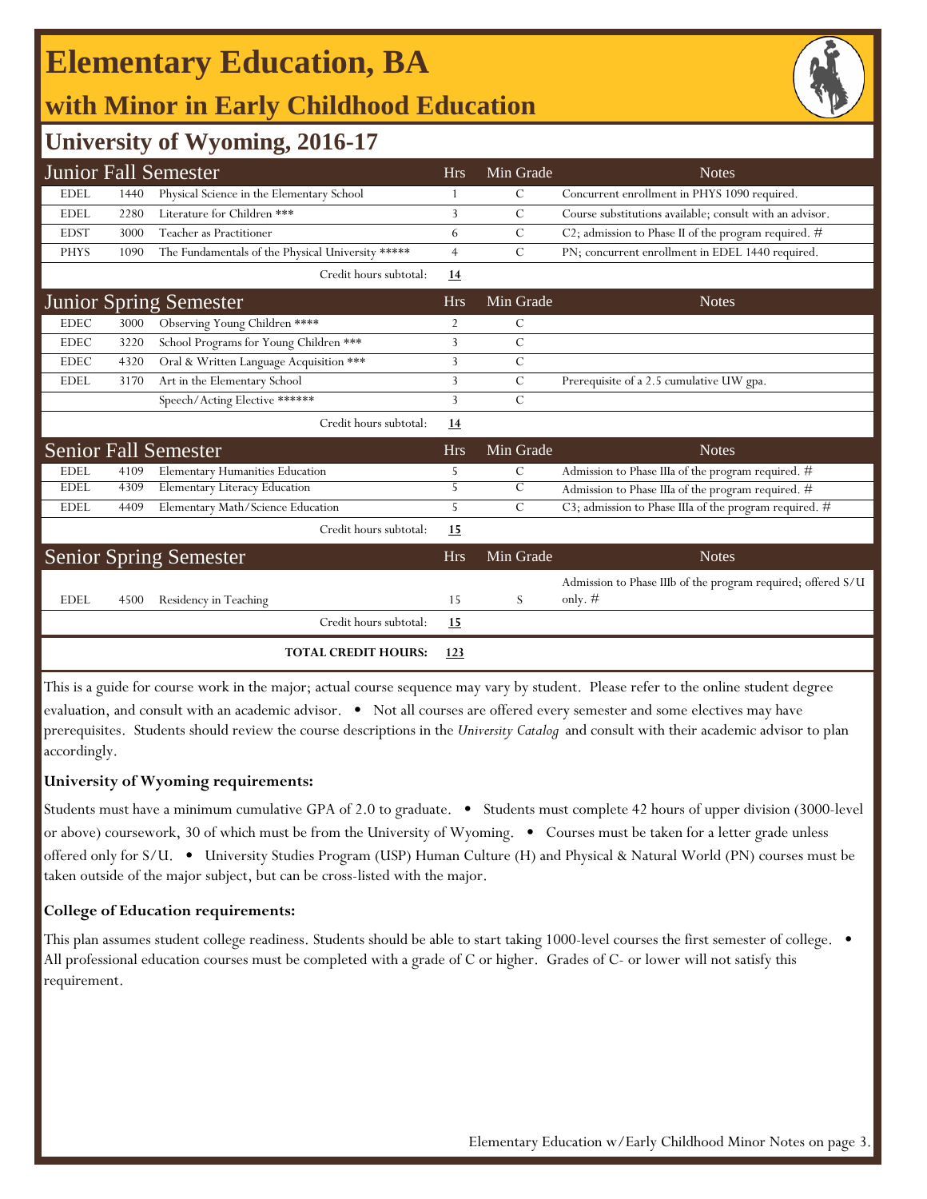# **Elementary Education, BA**

# **with Minor in Early Childhood Education**

### **University of Wyoming, 2016-17**

|             |      | <b>Junior Fall Semester</b>                       | <b>Hrs</b> | Min Grade      | <b>Notes</b>                                                 |
|-------------|------|---------------------------------------------------|------------|----------------|--------------------------------------------------------------|
| <b>EDEL</b> | 1440 | Physical Science in the Elementary School         |            | С              | Concurrent enrollment in PHYS 1090 required.                 |
| <b>EDEL</b> | 2280 | Literature for Children ***                       | 3          | C              | Course substitutions available; consult with an advisor.     |
| <b>EDST</b> | 3000 | Teacher as Practitioner                           | 6          | $\mathsf{C}$   | C2; admission to Phase II of the program required. #         |
| <b>PHYS</b> | 1090 | The Fundamentals of the Physical University ***** | 4          | $\mathcal{C}$  | PN; concurrent enrollment in EDEL 1440 required.             |
|             |      | Credit hours subtotal:                            | 14         |                |                                                              |
|             |      | <b>Junior Spring Semester</b>                     | <b>Hrs</b> | Min Grade      | <b>Notes</b>                                                 |
| <b>EDEC</b> | 3000 | Observing Young Children ****                     | 2          | $\mathcal{C}$  |                                                              |
| <b>EDEC</b> | 3220 | School Programs for Young Children ***            | 3          | $\overline{C}$ |                                                              |
| <b>EDEC</b> | 4320 | Oral & Written Language Acquisition ***           | 3          | $\mathsf{C}$   |                                                              |
| <b>EDEL</b> | 3170 | Art in the Elementary School                      | 3          | $\mathsf{C}$   | Prerequisite of a 2.5 cumulative UW gpa.                     |
|             |      | Speech/Acting Elective ******                     | 3          | C              |                                                              |
|             |      | Credit hours subtotal:                            | 14         |                |                                                              |
|             |      | <b>Senior Fall Semester</b>                       | <b>Hrs</b> | Min Grade      | <b>Notes</b>                                                 |
| <b>EDEL</b> | 4109 | Elementary Humanities Education                   | 5          | C              | Admission to Phase IIIa of the program required. #           |
| <b>EDEL</b> | 4309 | Elementary Literacy Education                     | 5          | $\mathcal{C}$  | Admission to Phase IIIa of the program required. #           |
| <b>EDEL</b> | 4409 | Elementary Math/Science Education                 | 5          | $\mathcal{C}$  | C3; admission to Phase IIIa of the program required. #       |
|             |      | Credit hours subtotal:                            | 15         |                |                                                              |
|             |      | <b>Senior Spring Semester</b>                     | <b>Hrs</b> | Min Grade      | <b>Notes</b>                                                 |
|             |      |                                                   |            |                | Admission to Phase IIIb of the program required; offered S/U |
| <b>EDEL</b> | 4500 | Residency in Teaching                             | 15         | S              | only. $#$                                                    |
|             |      | Credit hours subtotal:                            | <u>15</u>  |                |                                                              |
|             |      | <b>TOTAL CREDIT HOURS:</b>                        | 123        |                |                                                              |

This is a guide for course work in the major; actual course sequence may vary by student. Please refer to the online student degree evaluation, and consult with an academic advisor. • Not all courses are offered every semester and some electives may have prerequisites. Students should review the course descriptions in the *University Catalog* and consult with their academic advisor to plan accordingly.

#### **University of Wyoming requirements:**

Students must have a minimum cumulative GPA of 2.0 to graduate. • Students must complete 42 hours of upper division (3000-level or above) coursework, 30 of which must be from the University of Wyoming. • Courses must be taken for a letter grade unless offered only for S/U. • University Studies Program (USP) Human Culture (H) and Physical & Natural World (PN) courses must be taken outside of the major subject, but can be cross-listed with the major.

#### **College of Education requirements:**

This plan assumes student college readiness. Students should be able to start taking 1000-level courses the first semester of college. • All professional education courses must be completed with a grade of C or higher. Grades of C- or lower will not satisfy this requirement.